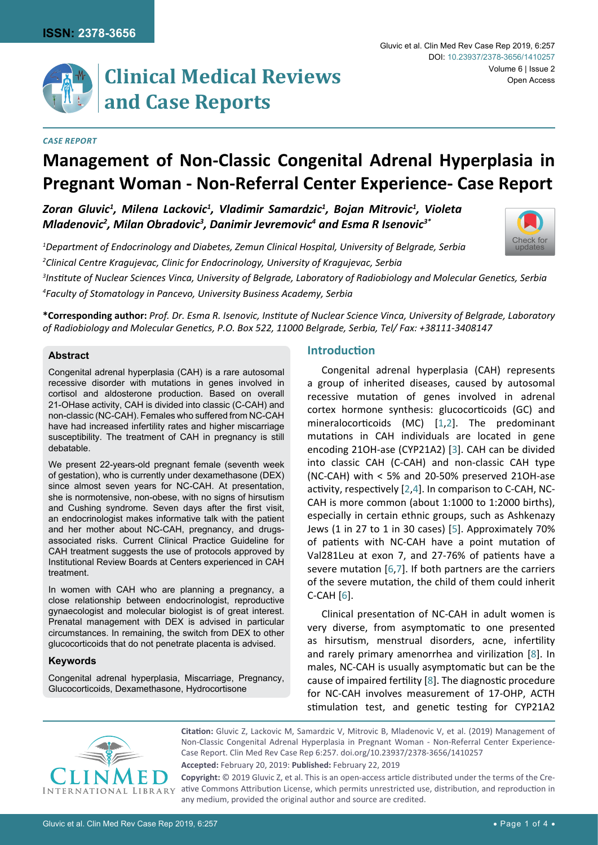

# **Clinical Medical Reviews and Case Reports**

#### *Case Report*

# **Management of Non-Classic Congenital Adrenal Hyperplasia in Pregnant Woman - Non-Referral Center Experience- Case Report**

*Zoran Gluvic1 , Milena Lackovic1 , Vladimir Samardzic1 , Bojan Mitrovic1 , Violeta Mladenovic2 , Milan Obradovic3 , Danimir Jevremovic4 and Esma R Isenovic3\**

*1 Department of Endocrinology and Diabetes, Zemun Clinical Hospital, University of Belgrade, Serbia 2 Clinical Centre Kragujevac, Clinic for Endocrinology, University of Kragujevac, Serbia 3 Institute of Nuclear Sciences Vinca, University of Belgrade, Laboratory of Radiobiology and Molecular Genetics, Serbia* 

*4 Faculty of Stomatology in Pancevo, University Business Academy, Serbia*

**\*Corresponding author:** *Prof. Dr. Esma R. Isenovic, Institute of Nuclear Science Vinca, University of Belgrade, Laboratory of Radiobiology and Molecular Genetics, P.O. Box 522, 11000 Belgrade, Serbia, Tel/ Fax: +38111-3408147*

#### **Abstract**

Congenital adrenal hyperplasia (CAH) is a rare autosomal recessive disorder with mutations in genes involved in cortisol and aldosterone production. Based on overall 21-OHase activity, CAH is divided into classic (C-CAH) and non-classic (NC-CAH). Females who suffered from NC-CAH have had increased infertility rates and higher miscarriage susceptibility. The treatment of CAH in pregnancy is still debatable.

We present 22-years-old pregnant female (seventh week of gestation), who is currently under dexamethasone (DEX) since almost seven years for NC-CAH. At presentation, she is normotensive, non-obese, with no signs of hirsutism and Cushing syndrome. Seven days after the first visit, an endocrinologist makes informative talk with the patient and her mother about NC-CAH, pregnancy, and drugsassociated risks. Current Clinical Practice Guideline for CAH treatment suggests the use of protocols approved by Institutional Review Boards at Centers experienced in CAH treatment.

In women with CAH who are planning a pregnancy, a close relationship between endocrinologist, reproductive gynaecologist and molecular biologist is of great interest. Prenatal management with DEX is advised in particular circumstances. In remaining, the switch from DEX to other glucocorticoids that do not penetrate placenta is advised.

## **Keywords**

Congenital adrenal hyperplasia, Miscarriage, Pregnancy, Glucocorticoids, Dexamethasone, Hydrocortisone

# **Introduction**

Congenital adrenal hyperplasia (CAH) represents a group of inherited diseases, caused by autosomal recessive mutation of genes involved in adrenal cortex hormone synthesis: glucocorticoids (GC) and mineralocorticoids (MC) [[1,](#page-2-0)[2](#page-2-1)]. The predominant mutations in CAH individuals are located in gene encoding 21OH-ase (CYP21A2) [[3\]](#page-2-2). CAH can be divided into classic CAH (C-CAH) and non-classic CAH type (NC-CAH) with < 5% and 20-50% preserved 21OH-ase activity, respectively [[2](#page-2-1)[,4\]](#page-2-3). In comparison to C-CAH, NC-CAH is more common (about 1:1000 to 1:2000 births), especially in certain ethnic groups, such as Ashkenazy Jews (1 in 27 to 1 in 30 cases) [[5](#page-2-4)]. Approximately 70% of patients with NC-CAH have a point mutation of Val281Leu at exon 7, and 27-76% of patients have a severe mutation [[6,](#page-2-5)[7](#page-2-6)]. If both partners are the carriers of the severe mutation, the child of them could inherit C-CAH [[6\]](#page-2-5).

Clinical presentation of NC-CAH in adult women is very diverse, from asymptomatic to one presented as hirsutism, menstrual disorders, acne, infertility and rarely primary amenorrhea and virilization [[8](#page-2-7)]. In males, NC-CAH is usually asymptomatic but can be the cause of impaired fertility [[8](#page-2-7)]. The diagnostic procedure for NC-CAH involves measurement of 17-OHP, ACTH stimulation test, and genetic testing for CYP21A2



**Citation:** Gluvic Z, Lackovic M, Samardzic V, Mitrovic B, Mladenovic V, et al. (2019) Management of Non-Classic Congenital Adrenal Hyperplasia in Pregnant Woman - Non-Referral Center Experience-Case Report. Clin Med Rev Case Rep 6:257. [doi.org/10.23937/2378-3656/1410257](https://doi.org/10.23937/2378-3656/1410257)

**Accepted:** February 20, 2019: **Published:** February 22, 2019

**Copyright:** © 2019 Gluvic Z, et al. This is an open-access article distributed under the terms of the Creative Commons Attribution License, which permits unrestricted use, distribution, and reproduction in any medium, provided the original author and source are credited.

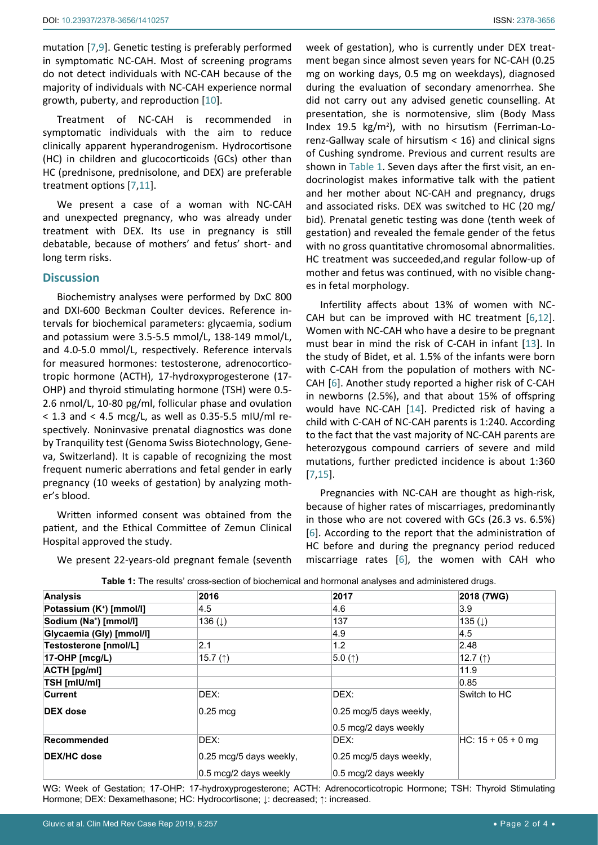mutation [[7,](#page-2-6)[9](#page-2-8)]. Genetic testing is preferably performed in symptomatic NC-CAH. Most of screening programs do not detect individuals with NC-CAH because of the majority of individuals with NC-CAH experience normal growth, puberty, and reproduction [[10](#page-3-4)].

Treatment of NC-CAH is recommended in symptomatic individuals with the aim to reduce clinically apparent hyperandrogenism. Hydrocortisone (HC) in children and glucocorticoids (GCs) other than HC (prednisone, prednisolone, and DEX) are preferable treatment options [[7](#page-2-6)[,11\]](#page-3-5).

We present a case of a woman with NC-CAH and unexpected pregnancy, who was already under treatment with DEX. Its use in pregnancy is still debatable, because of mothers' and fetus' short- and long term risks.

#### **Discussion**

Biochemistry analyses were performed by DxC 800 and DXI-600 Beckman Coulter devices. Reference intervals for biochemical parameters: glycaemia, sodium and potassium were 3.5-5.5 mmol/L, 138-149 mmol/L, and 4.0-5.0 mmol/L, respectively. Reference intervals for measured hormones: testosterone, adrenocorticotropic hormone (ACTH), 17-hydroxyprogesterone (17- OHP) and thyroid stimulating hormone (TSH) were 0.5- 2.6 nmol/L, 10-80 pg/ml, follicular phase and ovulation  $<$  1.3 and  $<$  4.5 mcg/L, as well as 0.35-5.5 mIU/ml respectively. Noninvasive prenatal diagnostics was done by Tranquility test (Genoma Swiss Biotechnology, Geneva, Switzerland). It is capable of recognizing the most frequent numeric aberrations and fetal gender in early pregnancy (10 weeks of gestation) by analyzing mother's blood.

Written informed consent was obtained from the patient, and the Ethical Committee of Zemun Clinical Hospital approved the study.

We present 22-years-old pregnant female (seventh

week of gestation), who is currently under DEX treatment began since almost seven years for NC-CAH (0.25 mg on working days, 0.5 mg on weekdays), diagnosed during the evaluation of secondary amenorrhea. She did not carry out any advised genetic counselling. At presentation, she is normotensive, slim (Body Mass Index 19.5 kg/m<sup>2</sup>), with no hirsutism (Ferriman-Lorenz-Gallway scale of hirsutism < 16) and clinical signs of Cushing syndrome. Previous and current results are shown in [Table 1](#page-1-0). Seven days after the first visit, an endocrinologist makes informative talk with the patient and her mother about NC-CAH and pregnancy, drugs and associated risks. DEX was switched to HC (20 mg/ bid). Prenatal genetic testing was done (tenth week of gestation) and revealed the female gender of the fetus with no gross quantitative chromosomal abnormalities. HC treatment was succeeded,and regular follow-up of mother and fetus was continued, with no visible changes in fetal morphology.

Infertility affects about 13% of women with NC-CAH but can be improved with HC treatment [[6](#page-2-5)[,12\]](#page-3-0). Women with NC-CAH who have a desire to be pregnant must bear in mind the risk of C-CAH in infant [[13](#page-3-1)]. In the study of Bidet, et al. 1.5% of the infants were born with C-CAH from the population of mothers with NC-CAH [[6\]](#page-2-5). Another study reported a higher risk of C-CAH in newborns (2.5%), and that about 15% of offspring would have NC-CAH [[14](#page-3-2)]. Predicted risk of having a child with C-CAH of NC-CAH parents is 1:240. According to the fact that the vast majority of NC-CAH parents are heterozygous compound carriers of severe and mild mutations, further predicted incidence is about 1:360 [[7](#page-2-6)[,15\]](#page-3-3).

Pregnancies with NC-CAH are thought as high-risk, because of higher rates of miscarriages, predominantly in those who are not covered with GCs (26.3 vs. 6.5%) [[6](#page-2-5)]. According to the report that the administration of HC before and during the pregnancy period reduced miscarriage rates [[6](#page-2-5)], the women with CAH who

| <b>Analysis</b>                      | 2016                    | 2017                    | 2018 (7WG)            |
|--------------------------------------|-------------------------|-------------------------|-----------------------|
| Potassium (K <sup>+</sup> ) [mmol/l] | 4.5                     | 4.6                     | 3.9                   |
| Sodium (Na <sup>+</sup> ) [mmol/l]   | 136 $(1)$               | 137                     | 135 <sub>(</sub> )    |
| Glycaemia (Gly) [mmol/l]             |                         | 4.9                     | 4.5                   |
| Testosterone [nmol/L]                | 2.1                     | 1.2                     | 2.48                  |
| 17-OHP [mcg/L)                       | 15.7 $($ $\uparrow$ )   | 5.0(1)                  | 12.7 $($ $\uparrow$ ) |
| <b>ACTH [pg/ml]</b>                  |                         |                         | 11.9                  |
| <b>TSH [mIU/mI]</b>                  |                         |                         | 0.85                  |
| <b>Current</b>                       | DEX:                    | DEX:                    | Switch to HC          |
| <b>DEX</b> dose                      | $0.25 \text{ mcg}$      | 0.25 mcg/5 days weekly, |                       |
|                                      |                         | 0.5 mcg/2 days weekly   |                       |
| Recommended                          | DEX:                    | DEX:                    | HC: 15 + 05 + 0 mg    |
| <b>DEX/HC</b> dose                   | 0.25 mcg/5 days weekly, | 0.25 mcg/5 days weekly, |                       |
|                                      | 0.5 mcg/2 days weekly   | 0.5 mcg/2 days weekly   |                       |

<span id="page-1-0"></span>**Table 1:** The results' cross-section of biochemical and hormonal analyses and administered drugs.

WG: Week of Gestation; 17-OHP: 17-hydroxyprogesterone; ACTH: Adrenocorticotropic Hormone; TSH: Thyroid Stimulating Hormone; DEX: Dexamethasone; HC: Hydrocortisone; ↓: decreased; ↑: increased.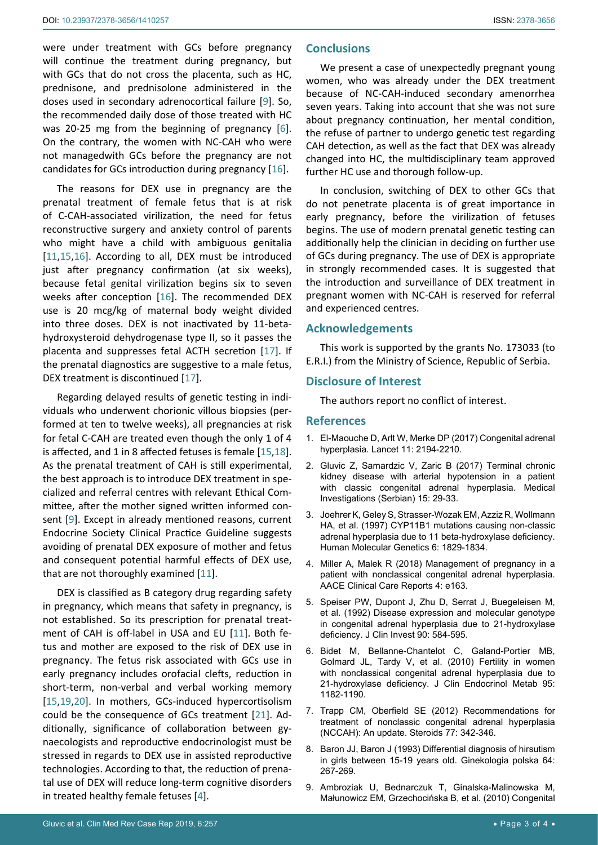were under treatment with GCs before pregnancy will continue the treatment during pregnancy, but with GCs that do not cross the placenta, such as HC, prednisone, and prednisolone administered in the doses used in secondary adrenocortical failure [[9](#page-2-8)]. So, the recommended daily dose of those treated with HC was 20-25 mg from the beginning of pregnancy [[6](#page-2-5)]. On the contrary, the women with NC-CAH who were not managedwith GCs before the pregnancy are not candidates for GCs introduction during pregnancy [[16\]](#page-3-6).

The reasons for DEX use in pregnancy are the prenatal treatment of female fetus that is at risk of C-CAH-associated virilization, the need for fetus reconstructive surgery and anxiety control of parents who might have a child with ambiguous genitalia [[11](#page-3-5),[15,](#page-3-3)[16](#page-3-6)]. According to all, DEX must be introduced just after pregnancy confirmation (at six weeks), because fetal genital virilization begins six to seven weeks after conception [[16](#page-3-6)]. The recommended DEX use is 20 mcg/kg of maternal body weight divided into three doses. DEX is not inactivated by 11-betahydroxysteroid dehydrogenase type II, so it passes the placenta and suppresses fetal ACTH secretion [[17\]](#page-3-7). If the prenatal diagnostics are suggestive to a male fetus, DEX treatment is discontinued [[17](#page-3-7)].

Regarding delayed results of genetic testing in individuals who underwent chorionic villous biopsies (performed at ten to twelve weeks), all pregnancies at risk for fetal C-CAH are treated even though the only 1 of 4 is affected, and 1 in 8 affected fetuses is female [[15,](#page-3-3)[18](#page-3-8)]. As the prenatal treatment of CAH is still experimental, the best approach is to introduce DEX treatment in specialized and referral centres with relevant Ethical Committee, after the mother signed written informed consent [[9](#page-2-8)]. Except in already mentioned reasons, current Endocrine Society Clinical Practice Guideline suggests avoiding of prenatal DEX exposure of mother and fetus and consequent potential harmful effects of DEX use, that are not thoroughly examined [[11\]](#page-3-5).

DEX is classified as B category drug regarding safety in pregnancy, which means that safety in pregnancy, is not established. So its prescription for prenatal treatment of CAH is off-label in USA and EU [[11](#page-3-5)]. Both fetus and mother are exposed to the risk of DEX use in pregnancy. The fetus risk associated with GCs use in early pregnancy includes orofacial clefts, reduction in short-term, non-verbal and verbal working memory [[15](#page-3-3),[19,](#page-3-9)[20](#page-3-10)]. In mothers, GCs-induced hypercortisolism could be the consequence of GCs treatment [[21](#page-3-11)]. Additionally, significance of collaboration between gynaecologists and reproductive endocrinologist must be stressed in regards to DEX use in assisted reproductive technologies. According to that, the reduction of prenatal use of DEX will reduce long-term cognitive disorders in treated healthy female fetuses [[4](#page-2-3)].

#### **Conclusions**

We present a case of unexpectedly pregnant young women, who was already under the DEX treatment because of NC-CAH-induced secondary amenorrhea seven years. Taking into account that she was not sure about pregnancy continuation, her mental condition, the refuse of partner to undergo genetic test regarding CAH detection, as well as the fact that DEX was already changed into HC, the multidisciplinary team approved further HC use and thorough follow-up.

In conclusion, switching of DEX to other GCs that do not penetrate placenta is of great importance in early pregnancy, before the virilization of fetuses begins. The use of modern prenatal genetic testing can additionally help the clinician in deciding on further use of GCs during pregnancy. The use of DEX is appropriate in strongly recommended cases. It is suggested that the introduction and surveillance of DEX treatment in pregnant women with NC-CAH is reserved for referral and experienced centres.

#### **Acknowledgements**

This work is supported by the grants No. 173033 (to E.R.I.) from the Ministry of Science, Republic of Serbia.

### **Disclosure of Interest**

The authors report no conflict of interest.

#### **References**

- <span id="page-2-0"></span>1. [El-Maouche D, Arlt W, Merke DP \(2017\) Congenital adrenal](https://miami.pure.elsevier.com/en/publications/congenital-adrenal-hyperplasia)  [hyperplasia. Lancet 11: 2194-2210.](https://miami.pure.elsevier.com/en/publications/congenital-adrenal-hyperplasia)
- <span id="page-2-1"></span>2. Gluvic Z, Samardzic V, Zaric B (2017) Terminal chronic kidney disease with arterial hypotension in a patient with classic congenital adrenal hyperplasia. Medical Investigations (Serbian) 15: 29-33.
- <span id="page-2-2"></span>3. [Joehrer K, Geley S, Strasser-Wozak EM, Azziz R, Wollmann](https://academic.oup.com/hmg/article/6/11/1829/685371)  [HA, et al. \(1997\) CYP11B1 mutations causing non-classic](https://academic.oup.com/hmg/article/6/11/1829/685371)  [adrenal hyperplasia due to 11 beta-hydroxylase deficiency.](https://academic.oup.com/hmg/article/6/11/1829/685371)  [Human Molecular Genetics 6: 1829-1834.](https://academic.oup.com/hmg/article/6/11/1829/685371)
- <span id="page-2-3"></span>4. [Miller A, Malek R \(2018\) Management of pregnancy in a](https://journals.aace.com/doi/full/10.4158/EP171958.CR)  [patient with nonclassical congenital adrenal hyperplasia.](https://journals.aace.com/doi/full/10.4158/EP171958.CR)  [AACE Clinical Care Reports 4: e163.](https://journals.aace.com/doi/full/10.4158/EP171958.CR)
- <span id="page-2-4"></span>5. [Speiser PW, Dupont J, Zhu D, Serrat J,](https://www.ncbi.nlm.nih.gov/pubmed/1644925) Buegeleisen M, [et al. \(1992\) Disease expression and molecular genotype](https://www.ncbi.nlm.nih.gov/pubmed/1644925)  [in congenital adrenal hyperplasia due to 21-hydroxylase](https://www.ncbi.nlm.nih.gov/pubmed/1644925)  [deficiency. J Clin Invest 90: 584-595.](https://www.ncbi.nlm.nih.gov/pubmed/1644925)
- <span id="page-2-5"></span>6. [Bidet M, Bellanne-Chantelot C, Galand-Portier MB,](https://www.ncbi.nlm.nih.gov/pubmed/20080854)  Golmard JL, [Tardy V, et al. \(2010\) Fertility in women](https://www.ncbi.nlm.nih.gov/pubmed/20080854)  [with nonclassical congenital adrenal hyperplasia due to](https://www.ncbi.nlm.nih.gov/pubmed/20080854)  [21-hydroxylase deficiency. J Clin Endocrinol Metab 95:](https://www.ncbi.nlm.nih.gov/pubmed/20080854)  [1182-1190.](https://www.ncbi.nlm.nih.gov/pubmed/20080854)
- <span id="page-2-6"></span>7. [Trapp CM, Oberfield SE \(2012\) Recommendations for](https://www.ncbi.nlm.nih.gov/pubmed/22186144)  [treatment of nonclassic congenital adrenal hyperplasia](https://www.ncbi.nlm.nih.gov/pubmed/22186144)  [\(NCCAH\): An update. Steroids 77: 342-346.](https://www.ncbi.nlm.nih.gov/pubmed/22186144)
- <span id="page-2-7"></span>8. [Baron JJ, Baron J \(1993\) Differential diagnosis of hirsutism](https://www.ncbi.nlm.nih.gov/pubmed/8365685)  [in girls between 15-19 years old. Ginekologia polska 64:](https://www.ncbi.nlm.nih.gov/pubmed/8365685)  [267-269.](https://www.ncbi.nlm.nih.gov/pubmed/8365685)
- <span id="page-2-8"></span>9. [Ambroziak U, Bednarczuk T, Ginalska-Malinowska M,](https://www.ncbi.nlm.nih.gov/pubmed/20205117)  Małunowicz EM, [Grzechocińska B, et al. \(2010\) Congenital](https://www.ncbi.nlm.nih.gov/pubmed/20205117)